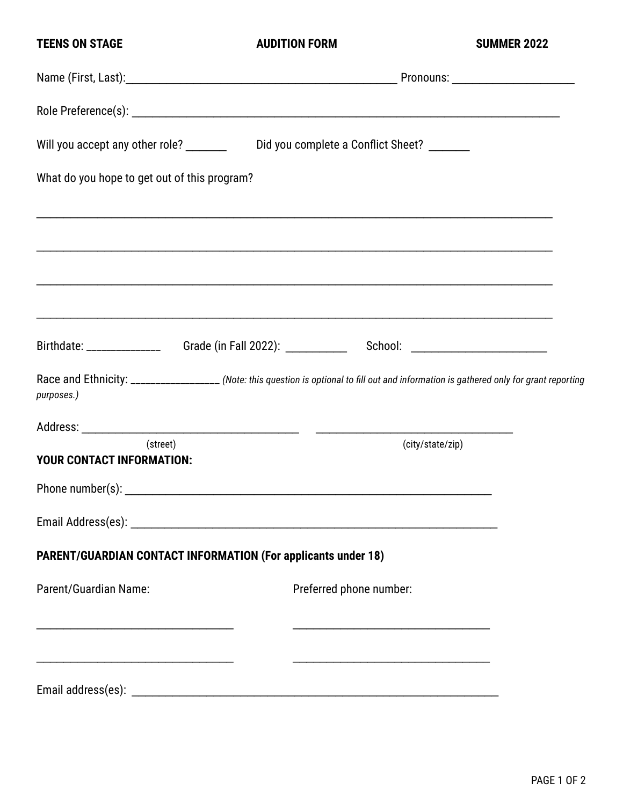| <b>TEENS ON STAGE</b>                                         | <b>AUDITION FORM</b>                                                                                                                     | <b>SUMMER 2022</b> |  |
|---------------------------------------------------------------|------------------------------------------------------------------------------------------------------------------------------------------|--------------------|--|
|                                                               |                                                                                                                                          |                    |  |
|                                                               |                                                                                                                                          |                    |  |
|                                                               | Will you accept any other role? _________ Did you complete a Conflict Sheet? ______                                                      |                    |  |
| What do you hope to get out of this program?                  |                                                                                                                                          |                    |  |
|                                                               |                                                                                                                                          |                    |  |
|                                                               |                                                                                                                                          |                    |  |
|                                                               |                                                                                                                                          |                    |  |
|                                                               |                                                                                                                                          |                    |  |
| purposes.)                                                    | Race and Ethnicity: __________________ (Note: this question is optional to fill out and information is gathered only for grant reporting |                    |  |
|                                                               |                                                                                                                                          |                    |  |
| (street)<br>YOUR CONTACT INFORMATION:                         |                                                                                                                                          | (city/state/zip)   |  |
|                                                               |                                                                                                                                          |                    |  |
|                                                               |                                                                                                                                          |                    |  |
|                                                               | <b>PARENT/GUARDIAN CONTACT INFORMATION (For applicants under 18)</b>                                                                     |                    |  |
| Parent/Guardian Name:                                         | Preferred phone number:                                                                                                                  |                    |  |
|                                                               |                                                                                                                                          |                    |  |
| <u> 1989 - Johann John Stone, mars andrew Maria (d. 1989)</u> |                                                                                                                                          |                    |  |
|                                                               |                                                                                                                                          |                    |  |